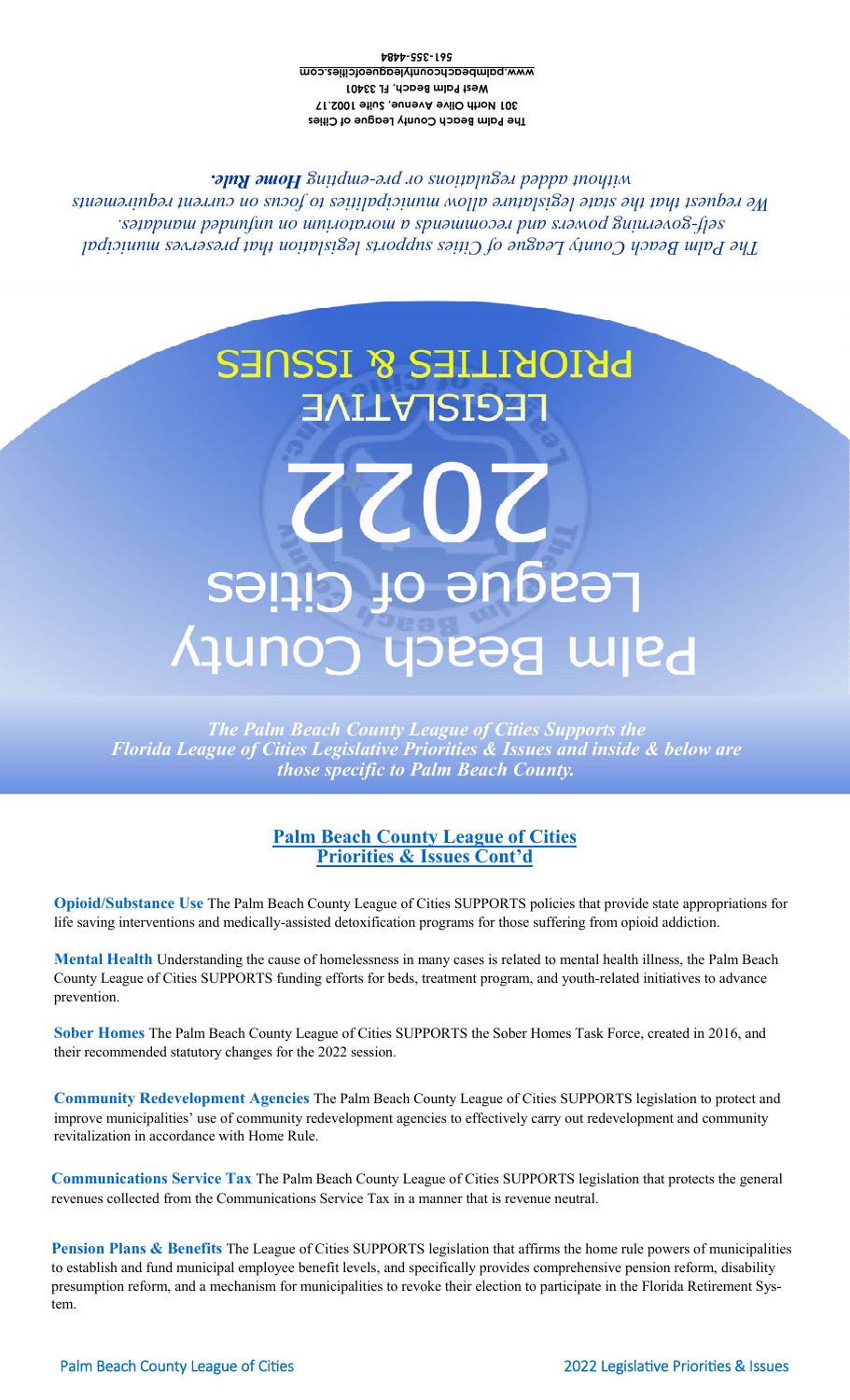**The Palm Beach County League of Cities 301 North Olive Avenue, Suite 1002.17 West Palm Beach, FL 33401 www.palmbeachcountyleagueofcities.com 4484 - 355 - 561**

 *Palm Beach County League of Cities supports legislation that preserves municipal The governing powers and recommends a moratorium on unfunded mandates. - self quest that the state legislature allow municipalities to focus on current requirements We re Home Rule and acceptional of Buithout Rule.* 

## PRIORITIES & ISSUES **LEGISLATIVE**

2022 League of Cities **Palm Beach County** 

*The Palm Beach County League of Cities Supports the Florida League of Cities Legislative Priorities & Issues and inside & below are those specific to Palm Beach County.* 

## **Palm Beach County League of Cities Priorities & Issues Cont'd**

**Opioid/Substance Use** The Palm Beach County League of Cities SUPPORTS policies that provide state appropriations for life saving interventions and medically-assisted detoxification programs for those suffering from opioid addiction.

**Mental Health** Understanding the cause of homelessness in many cases is related to mental health illness, the Palm Beach County League of Cities SUPPORTS funding efforts for beds, treatment program, and youth-related initiatives to advance prevention.

**Sober Homes** The Palm Beach County League of Cities SUPPORTS the Sober Homes Task Force, created in 2016, and their recommended statutory changes for the 2022 session.

**Community Redevelopment Agencies** The Palm Beach County League of Cities SUPPORTS legislation to protect and improve municipalities' use of community redevelopment agencies to effectively carry out redevelopment and community revitalization in accordance with Home Rule.

**Communications Service Tax** The Palm Beach County League of Cities SUPPORTS legislation that protects the general revenues collected from the Communications Service Tax in a manner that is revenue neutral.

**Pension Plans & Benefits** The League of Cities SUPPORTS legislation that affirms the home rule powers of municipalities to establish and fund municipal employee benefit levels, and specifically provides comprehensive pension reform, disability presumption reform, and a mechanism for municipalities to revoke their election to participate in the Florida Retirement System.